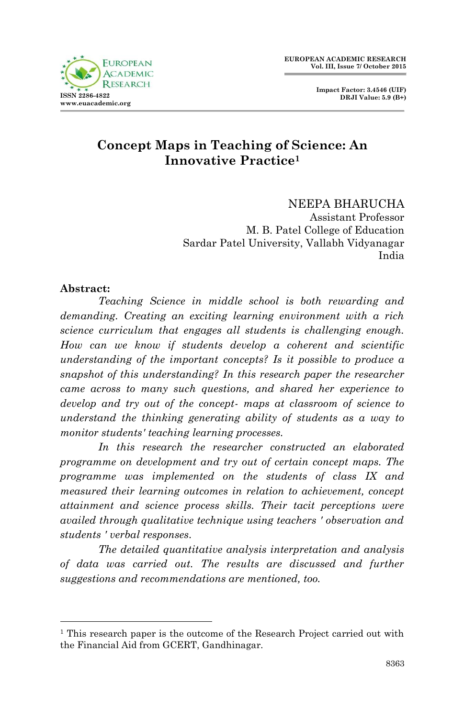

### **Concept Maps in Teaching of Science: An Innovative Practice<sup>1</sup>**

#### NEEPA BHARUCHA Assistant Professor M. B. Patel College of Education Sardar Patel University, Vallabh Vidyanagar India

#### **Abstract:**

1

*Teaching Science in middle school is both rewarding and demanding. Creating an exciting learning environment with a rich science curriculum that engages all students is challenging enough. How can we know if students develop a coherent and scientific understanding of the important concepts? Is it possible to produce a snapshot of this understanding? In this research paper the researcher came across to many such questions, and shared her experience to develop and try out of the concept- maps at classroom of science to understand the thinking generating ability of students as a way to monitor students' teaching learning processes.*

*In this research the researcher constructed an elaborated programme on development and try out of certain concept maps. The programme was implemented on the students of class IX and measured their learning outcomes in relation to achievement, concept attainment and science process skills. Their tacit perceptions were availed through qualitative technique using teachers ' observation and students ' verbal responses.*

*The detailed quantitative analysis interpretation and analysis of data was carried out. The results are discussed and further suggestions and recommendations are mentioned, too.*

<sup>&</sup>lt;sup>1</sup> This research paper is the outcome of the Research Project carried out with the Financial Aid from GCERT, Gandhinagar.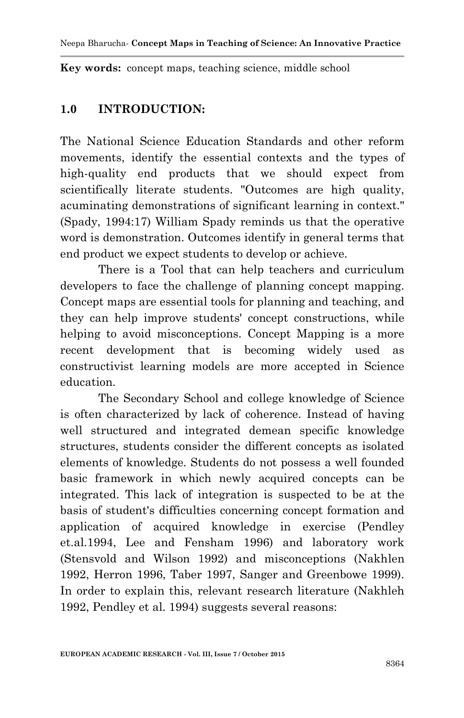**Key words:** concept maps, teaching science, middle school

#### **1.0 INTRODUCTION:**

The National Science Education Standards and other reform movements, identify the essential contexts and the types of high-quality end products that we should expect from scientifically literate students. "Outcomes are high quality, acuminating demonstrations of significant learning in context." (Spady, 1994:17) William Spady reminds us that the operative word is demonstration. Outcomes identify in general terms that end product we expect students to develop or achieve.

There is a Tool that can help teachers and curriculum developers to face the challenge of planning concept mapping. Concept maps are essential tools for planning and teaching, and they can help improve students' concept constructions, while helping to avoid misconceptions. Concept Mapping is a more recent development that is becoming widely used as constructivist learning models are more accepted in Science education.

The Secondary School and college knowledge of Science is often characterized by lack of coherence. Instead of having well structured and integrated demean specific knowledge structures, students consider the different concepts as isolated elements of knowledge. Students do not possess a well founded basic framework in which newly acquired concepts can be integrated. This lack of integration is suspected to be at the basis of student's difficulties concerning concept formation and application of acquired knowledge in exercise (Pendley et.al.1994, Lee and Fensham 1996) and laboratory work (Stensvold and Wilson 1992) and misconceptions (Nakhlen 1992, Herron 1996, Taber 1997, Sanger and Greenbowe 1999). In order to explain this, relevant research literature (Nakhleh 1992, Pendley et al. 1994) suggests several reasons: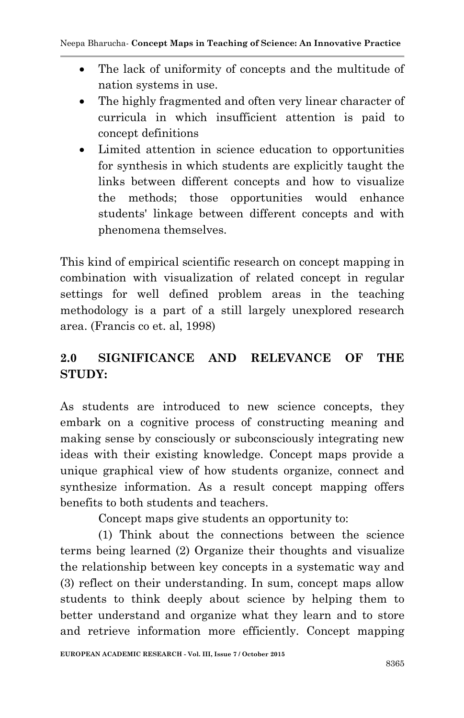- The lack of uniformity of concepts and the multitude of nation systems in use.
- The highly fragmented and often very linear character of curricula in which insufficient attention is paid to concept definitions
- Limited attention in science education to opportunities for synthesis in which students are explicitly taught the links between different concepts and how to visualize the methods; those opportunities would enhance students' linkage between different concepts and with phenomena themselves.

This kind of empirical scientific research on concept mapping in combination with visualization of related concept in regular settings for well defined problem areas in the teaching methodology is a part of a still largely unexplored research area. (Francis co et. al, 1998)

# **2.0 SIGNIFICANCE AND RELEVANCE OF THE STUDY:**

As students are introduced to new science concepts, they embark on a cognitive process of constructing meaning and making sense by consciously or subconsciously integrating new ideas with their existing knowledge. Concept maps provide a unique graphical view of how students organize, connect and synthesize information. As a result concept mapping offers benefits to both students and teachers.

Concept maps give students an opportunity to:

(1) Think about the connections between the science terms being learned (2) Organize their thoughts and visualize the relationship between key concepts in a systematic way and (3) reflect on their understanding. In sum, concept maps allow students to think deeply about science by helping them to better understand and organize what they learn and to store and retrieve information more efficiently. Concept mapping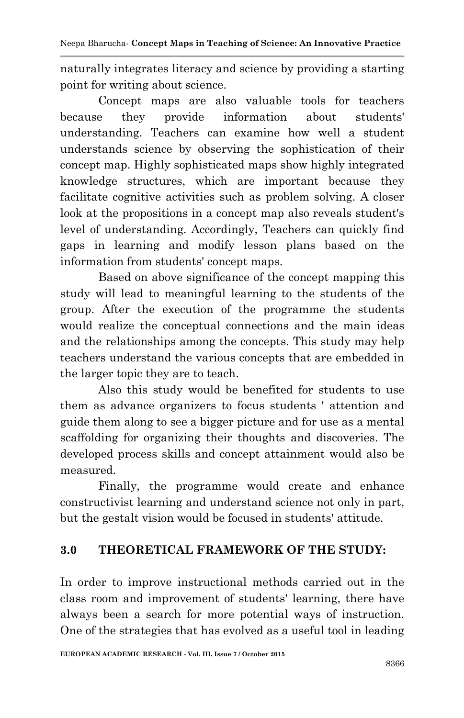naturally integrates literacy and science by providing a starting point for writing about science.

Concept maps are also valuable tools for teachers because they provide information about students' understanding. Teachers can examine how well a student understands science by observing the sophistication of their concept map. Highly sophisticated maps show highly integrated knowledge structures, which are important because they facilitate cognitive activities such as problem solving. A closer look at the propositions in a concept map also reveals student's level of understanding. Accordingly, Teachers can quickly find gaps in learning and modify lesson plans based on the information from students' concept maps.

Based on above significance of the concept mapping this study will lead to meaningful learning to the students of the group. After the execution of the programme the students would realize the conceptual connections and the main ideas and the relationships among the concepts. This study may help teachers understand the various concepts that are embedded in the larger topic they are to teach.

Also this study would be benefited for students to use them as advance organizers to focus students ' attention and guide them along to see a bigger picture and for use as a mental scaffolding for organizing their thoughts and discoveries. The developed process skills and concept attainment would also be measured.

Finally, the programme would create and enhance constructivist learning and understand science not only in part, but the gestalt vision would be focused in students' attitude.

## **3.0 THEORETICAL FRAMEWORK OF THE STUDY:**

In order to improve instructional methods carried out in the class room and improvement of students' learning, there have always been a search for more potential ways of instruction. One of the strategies that has evolved as a useful tool in leading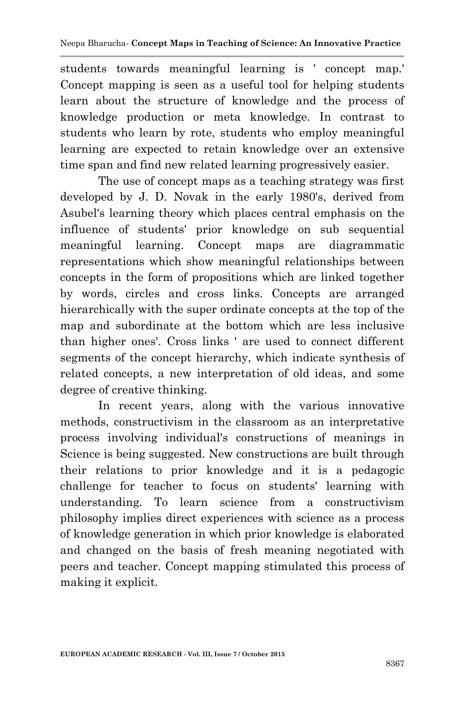students towards meaningful learning is ' concept map.' Concept mapping is seen as a useful tool for helping students learn about the structure of knowledge and the process of knowledge production or meta knowledge. In contrast to students who learn by rote, students who employ meaningful learning are expected to retain knowledge over an extensive time span and find new related learning progressively easier.

The use of concept maps as a teaching strategy was first developed by J. D. Novak in the early 1980's, derived from Asubel's learning theory which places central emphasis on the influence of students' prior knowledge on sub sequential meaningful learning. Concept maps are diagrammatic representations which show meaningful relationships between concepts in the form of propositions which are linked together by words, circles and cross links. Concepts are arranged hierarchically with the super ordinate concepts at the top of the map and subordinate at the bottom which are less inclusive than higher ones'. Cross links ' are used to connect different segments of the concept hierarchy, which indicate synthesis of related concepts, a new interpretation of old ideas, and some degree of creative thinking.

In recent years, along with the various innovative methods, constructivism in the classroom as an interpretative process involving individual's constructions of meanings in Science is being suggested. New constructions are built through their relations to prior knowledge and it is a pedagogic challenge for teacher to focus on students' learning with understanding. To learn science from a constructivism philosophy implies direct experiences with science as a process of knowledge generation in which prior knowledge is elaborated and changed on the basis of fresh meaning negotiated with peers and teacher. Concept mapping stimulated this process of making it explicit.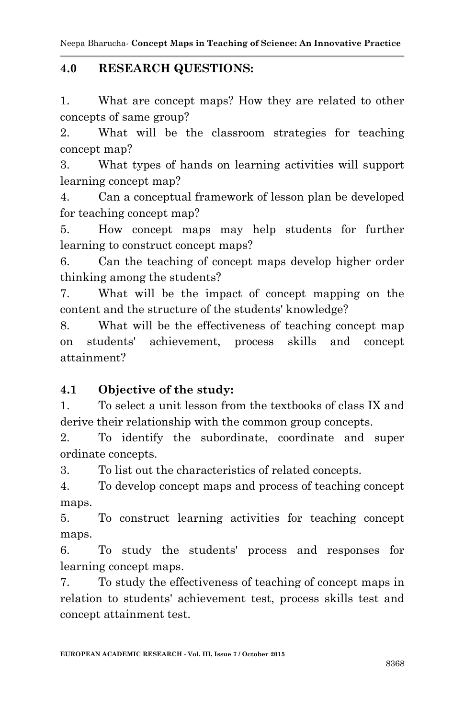Neepa Bharucha*-* **Concept Maps in Teaching of Science: An Innovative Practice**

#### **4.0 RESEARCH QUESTIONS:**

1. What are concept maps? How they are related to other concepts of same group?

2. What will be the classroom strategies for teaching concept map?

3. What types of hands on learning activities will support learning concept map?

4. Can a conceptual framework of lesson plan be developed for teaching concept map?

5. How concept maps may help students for further learning to construct concept maps?

6. Can the teaching of concept maps develop higher order thinking among the students?

7. What will be the impact of concept mapping on the content and the structure of the students' knowledge?

8. What will be the effectiveness of teaching concept map on students' achievement, process skills and concept attainment?

### **4.1 Objective of the study:**

1. To select a unit lesson from the textbooks of class IX and derive their relationship with the common group concepts.

2. To identify the subordinate, coordinate and super ordinate concepts.

3. To list out the characteristics of related concepts.

4. To develop concept maps and process of teaching concept maps.

5. To construct learning activities for teaching concept maps.

6. To study the students' process and responses for learning concept maps.

7. To study the effectiveness of teaching of concept maps in relation to students' achievement test, process skills test and concept attainment test.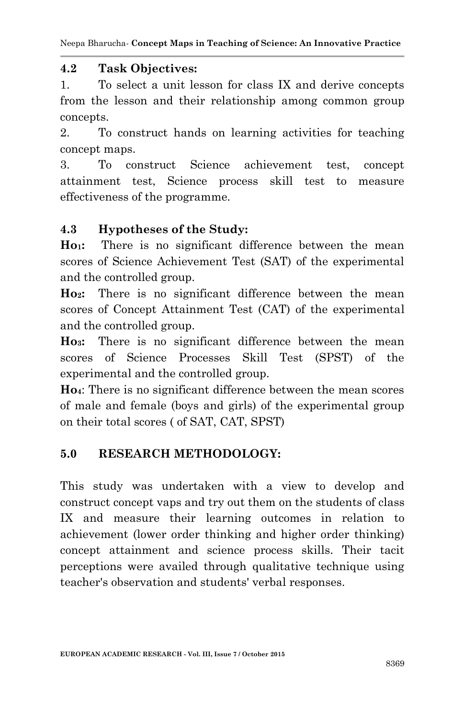#### **4.2 Task Objectives:**

1. To select a unit lesson for class IX and derive concepts from the lesson and their relationship among common group concepts.

2. To construct hands on learning activities for teaching concept maps.

3. To construct Science achievement test, concept attainment test, Science process skill test to measure effectiveness of the programme.

### **4.3 Hypotheses of the Study:**

**Ho1:** There is no significant difference between the mean scores of Science Achievement Test (SAT) of the experimental and the controlled group.

**Ho2:** There is no significant difference between the mean scores of Concept Attainment Test (CAT) of the experimental and the controlled group.

**Ho3:** There is no significant difference between the mean scores of Science Processes Skill Test (SPST) of the experimental and the controlled group.

**Ho4**: There is no significant difference between the mean scores of male and female (boys and girls) of the experimental group on their total scores ( of SAT, CAT, SPST)

## **5.0 RESEARCH METHODOLOGY:**

This study was undertaken with a view to develop and construct concept vaps and try out them on the students of class IX and measure their learning outcomes in relation to achievement (lower order thinking and higher order thinking) concept attainment and science process skills. Their tacit perceptions were availed through qualitative technique using teacher's observation and students' verbal responses.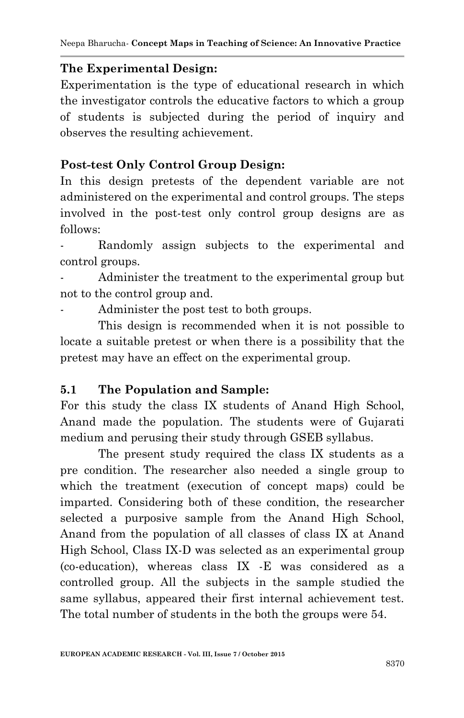#### **The Experimental Design:**

Experimentation is the type of educational research in which the investigator controls the educative factors to which a group of students is subjected during the period of inquiry and observes the resulting achievement.

#### **Post-test Only Control Group Design:**

In this design pretests of the dependent variable are not administered on the experimental and control groups. The steps involved in the post-test only control group designs are as follows:

Randomly assign subjects to the experimental and control groups.

Administer the treatment to the experimental group but not to the control group and.

Administer the post test to both groups.

This design is recommended when it is not possible to locate a suitable pretest or when there is a possibility that the pretest may have an effect on the experimental group.

#### **5.1 The Population and Sample:**

For this study the class IX students of Anand High School, Anand made the population. The students were of Gujarati medium and perusing their study through GSEB syllabus.

The present study required the class IX students as a pre condition. The researcher also needed a single group to which the treatment (execution of concept maps) could be imparted. Considering both of these condition, the researcher selected a purposive sample from the Anand High School, Anand from the population of all classes of class IX at Anand High School, Class IX-D was selected as an experimental group (co-education), whereas class IX -E was considered as a controlled group. All the subjects in the sample studied the same syllabus, appeared their first internal achievement test. The total number of students in the both the groups were 54.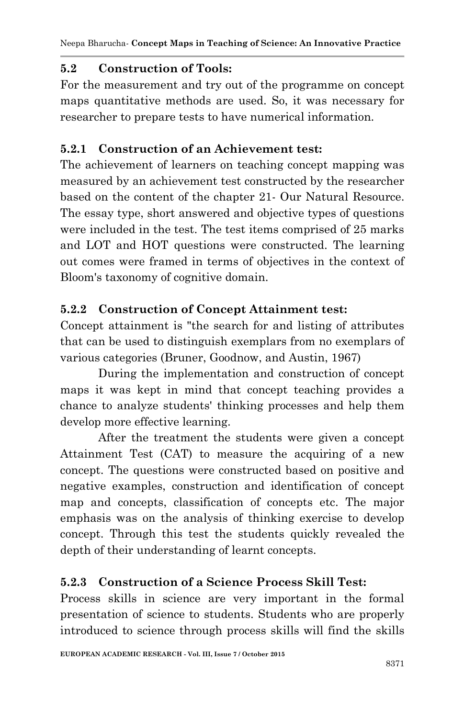### **5.2 Construction of Tools:**

For the measurement and try out of the programme on concept maps quantitative methods are used. So, it was necessary for researcher to prepare tests to have numerical information.

### **5.2.1 Construction of an Achievement test:**

The achievement of learners on teaching concept mapping was measured by an achievement test constructed by the researcher based on the content of the chapter 21- Our Natural Resource. The essay type, short answered and objective types of questions were included in the test. The test items comprised of 25 marks and LOT and HOT questions were constructed. The learning out comes were framed in terms of objectives in the context of Bloom's taxonomy of cognitive domain.

### **5.2.2 Construction of Concept Attainment test:**

Concept attainment is "the search for and listing of attributes that can be used to distinguish exemplars from no exemplars of various categories (Bruner, Goodnow, and Austin, 1967)

During the implementation and construction of concept maps it was kept in mind that concept teaching provides a chance to analyze students' thinking processes and help them develop more effective learning.

After the treatment the students were given a concept Attainment Test (CAT) to measure the acquiring of a new concept. The questions were constructed based on positive and negative examples, construction and identification of concept map and concepts, classification of concepts etc. The major emphasis was on the analysis of thinking exercise to develop concept. Through this test the students quickly revealed the depth of their understanding of learnt concepts.

## **5.2.3 Construction of a Science Process Skill Test:**

Process skills in science are very important in the formal presentation of science to students. Students who are properly introduced to science through process skills will find the skills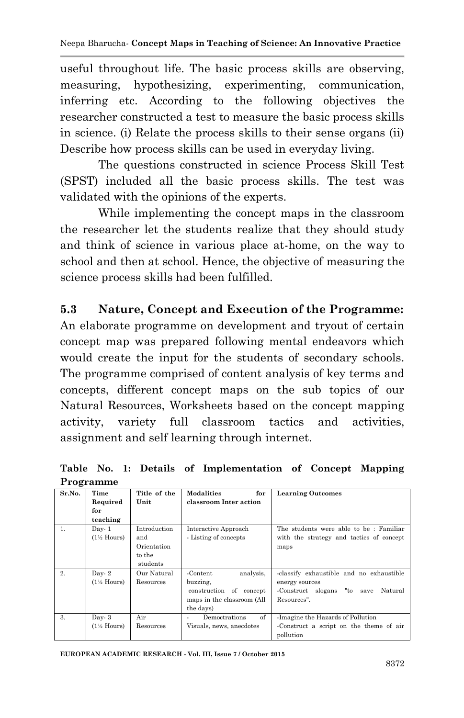useful throughout life. The basic process skills are observing, measuring, hypothesizing, experimenting, communication, inferring etc. According to the following objectives the researcher constructed a test to measure the basic process skills in science. (i) Relate the process skills to their sense organs (ii) Describe how process skills can be used in everyday living.

The questions constructed in science Process Skill Test (SPST) included all the basic process skills. The test was validated with the opinions of the experts.

While implementing the concept maps in the classroom the researcher let the students realize that they should study and think of science in various place at-home, on the way to school and then at school. Hence, the objective of measuring the science process skills had been fulfilled.

### **5.3 Nature, Concept and Execution of the Programme:**

An elaborate programme on development and tryout of certain concept map was prepared following mental endeavors which would create the input for the students of secondary schools. The programme comprised of content analysis of key terms and concepts, different concept maps on the sub topics of our Natural Resources, Worksheets based on the concept mapping activity, variety full classroom tactics and activities, assignment and self learning through internet.

|                | $= 10$ $\leq 100$      |              |                            |                                             |
|----------------|------------------------|--------------|----------------------------|---------------------------------------------|
| Sr.No.         | Time                   | Title of the | <b>Modalities</b><br>for   | <b>Learning Outcomes</b>                    |
|                | Required               | Unit         | classroom Inter action     |                                             |
|                | for                    |              |                            |                                             |
|                | teaching               |              |                            |                                             |
| $\mathbf{1}$ . | $Day-1$                | Introduction | Interactive Approach       | The students were able to be: Familiar      |
|                | $(1\frac{1}{2}$ Hours) | and          | - Listing of concepts      | with the strategy and tactics of concept    |
|                |                        | Orientation  |                            | maps                                        |
|                |                        | to the       |                            |                                             |
|                |                        | students     |                            |                                             |
| 2.             | Day- $2$               | Our Natural  | analysis.<br>-Content      | -classify exhaustible and no exhaustible    |
|                | $(1\frac{1}{2}$ Hours) | Resources    | buzzing,                   | energy sources                              |
|                |                        |              | construction of concept    | "to<br>Natural<br>Construct slogans<br>save |
|                |                        |              | maps in the classroom (All | Resources".                                 |
|                |                        |              | the days)                  |                                             |
| $\mathcal{R}$  | $Day-3$                | Air          | of<br>Democtrations        | -Imagine the Hazards of Pollution           |
|                | $(1\frac{1}{2}$ Hours) | Resources    | Visuals, news, anecdotes   | Construct a script on the theme of air      |
|                |                        |              |                            | pollution                                   |

**Table No. 1: Details of Implementation of Concept Mapping Programme**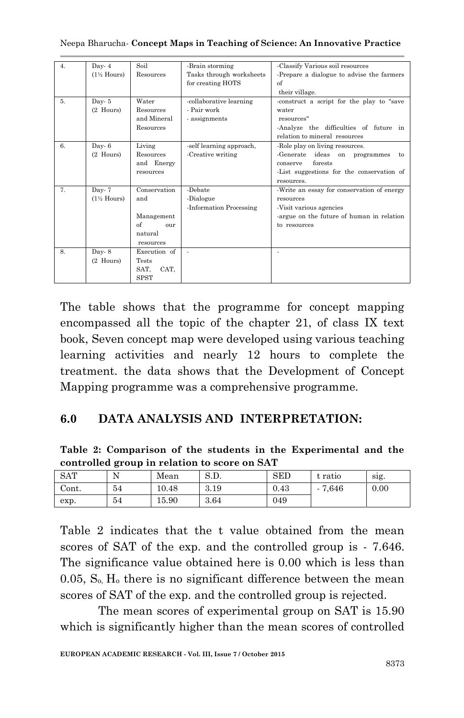| 4. | Day- $4$               | Soil         | -Brain storming          | -Classify Various soil resources           |  |  |
|----|------------------------|--------------|--------------------------|--------------------------------------------|--|--|
|    | $(1\frac{1}{2}$ Hours) | Resources    | Tasks through worksheets | -Prepare a dialogue to advise the farmers  |  |  |
|    |                        |              | for creating HOTS        | of                                         |  |  |
|    |                        |              |                          | their village.                             |  |  |
| 5. | Day- $5$               | Water        | -collaborative learning  | construct a script for the play to "save   |  |  |
|    | (2 Hours)              | Resources    | - Pair work              | water                                      |  |  |
|    |                        | and Mineral  | - assignments            | resources"                                 |  |  |
|    |                        | Resources    |                          | -Analyze the difficulties of future in     |  |  |
|    |                        |              |                          | relation to mineral resources              |  |  |
| 6. | Day-6                  | Living       | -self learning approach, | -Role play on living resources.            |  |  |
|    | (2 Hours)              | Resources    | -Creative writing        | -Generate ideas on programmes<br>to        |  |  |
|    |                        | and Energy   |                          | forests<br>conserve                        |  |  |
|    |                        | resources    |                          | -List suggestions for the conservation of  |  |  |
|    |                        |              |                          | resources.                                 |  |  |
| 7. | Day- $7$               | Conservation | -Debate                  | -Write an essay for conservation of energy |  |  |
|    | $(1\frac{1}{2}$ Hours) | and          | -Dialogue                | resources                                  |  |  |
|    |                        |              | -Information Processing  | Visit various agencies                     |  |  |
|    |                        | Management   |                          | argue on the future of human in relation   |  |  |
|    |                        | of<br>our    |                          | to resources                               |  |  |
|    |                        | natural      |                          |                                            |  |  |
|    |                        | resources    |                          |                                            |  |  |
| 8. | Day $8$                | Execution of |                          |                                            |  |  |
|    | $(2$ Hours)            | <b>Tests</b> |                          |                                            |  |  |
|    |                        | CAT.<br>SAT. |                          |                                            |  |  |
|    |                        | <b>SPST</b>  |                          |                                            |  |  |

Neepa Bharucha*-* **Concept Maps in Teaching of Science: An Innovative Practice**

The table shows that the programme for concept mapping encompassed all the topic of the chapter 21, of class IX text book, Seven concept map were developed using various teaching learning activities and nearly 12 hours to complete the treatment. the data shows that the Development of Concept Mapping programme was a comprehensive programme.

#### **6.0 DATA ANALYSIS AND INTERPRETATION:**

**Table 2: Comparison of the students in the Experimental and the controlled group in relation to score on SAT**

|            | -<br>$\overline{\phantom{a}}$ |       |        |            |         |      |
|------------|-------------------------------|-------|--------|------------|---------|------|
| <b>SAT</b> | N<br>. .                      | Mean  | n<br>U | <b>SED</b> | t ratio | sig. |
| Cont.      | 54                            | 10.48 | 3.19   | 0.43       | 7,646   | 0.00 |
| exp.       | 54                            | 15.90 | 3.64   | 049        |         |      |

Table 2 indicates that the t value obtained from the mean scores of SAT of the exp. and the controlled group is - 7.646. The significance value obtained here is 0.00 which is less than  $0.05$ ,  $S<sub>o</sub>$ ,  $H<sub>o</sub>$  there is no significant difference between the mean scores of SAT of the exp. and the controlled group is rejected.

The mean scores of experimental group on SAT is 15.90 which is significantly higher than the mean scores of controlled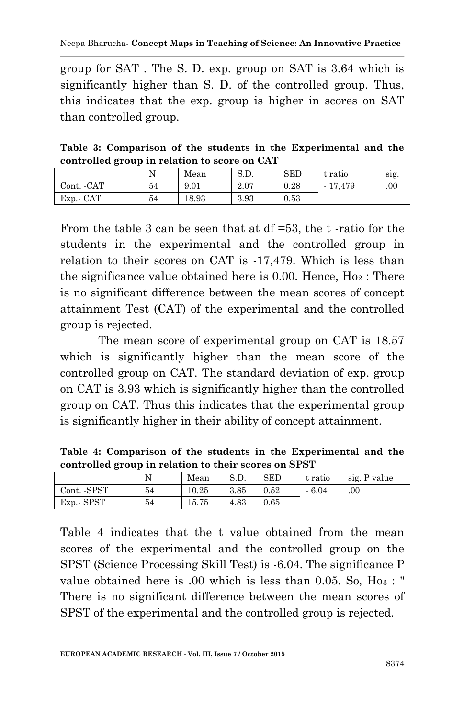group for SAT . The S. D. exp. group on SAT is 3.64 which is significantly higher than S. D. of the controlled group. Thus, this indicates that the exp. group is higher in scores on SAT than controlled group.

**Table 3: Comparison of the students in the Experimental and the controlled group in relation to score on CAT**

|             | N  | Mean  | S.D. | <b>SED</b> | t ratio   | sig. |
|-------------|----|-------|------|------------|-----------|------|
| Cont. - CAT | 54 | 9.01  | 2.07 | 0.28       | $-17,479$ | .00  |
| Exp. CAT    | 54 | 18.93 | 3.93 | 0.53       |           |      |

From the table 3 can be seen that at df =53, the t -ratio for the students in the experimental and the controlled group in relation to their scores on CAT is -17,479. Which is less than the significance value obtained here is  $0.00$ . Hence,  $H_{02}$ : There is no significant difference between the mean scores of concept attainment Test (CAT) of the experimental and the controlled group is rejected.

The mean score of experimental group on CAT is 18.57 which is significantly higher than the mean score of the controlled group on CAT. The standard deviation of exp. group on CAT is 3.93 which is significantly higher than the controlled group on CAT. Thus this indicates that the experimental group is significantly higher in their ability of concept attainment.

**Table 4: Comparison of the students in the Experimental and the controlled group in relation to their scores on SPST**

| . <i>.</i>  |    |       |      |            |         |              |  |  |
|-------------|----|-------|------|------------|---------|--------------|--|--|
|             |    | Mean  | S.D. | <b>SED</b> | t ratio | sig. P value |  |  |
| Cont. -SPST | 54 | 10.25 | 3.85 | 0.52       | $-6.04$ | .00.         |  |  |
| Exp. SPST   | 54 | 15.75 | 4.83 | 0.65       |         |              |  |  |

Table 4 indicates that the t value obtained from the mean scores of the experimental and the controlled group on the SPST (Science Processing Skill Test) is -6.04. The significance P value obtained here is  $.00$  which is less than 0.05. So, Ho<sub>3</sub> : " There is no significant difference between the mean scores of SPST of the experimental and the controlled group is rejected.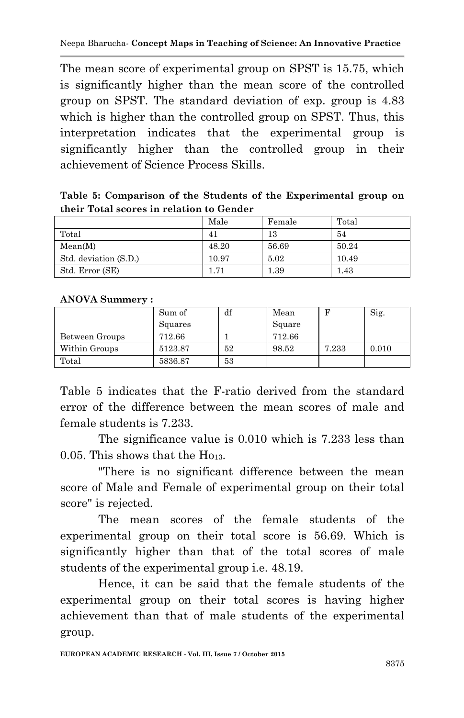The mean score of experimental group on SPST is 15.75, which is significantly higher than the mean score of the controlled group on SPST. The standard deviation of exp. group is 4.83 which is higher than the controlled group on SPST. Thus, this interpretation indicates that the experimental group is significantly higher than the controlled group in their achievement of Science Process Skills.

**Table 5: Comparison of the Students of the Experimental group on their Total scores in relation to Gender**

|                       | Male  | Female | Total    |
|-----------------------|-------|--------|----------|
| Total                 | 41    | 13     | 54       |
| Mean(M)               | 48.20 | 56.69  | 50.24    |
| Std. deviation (S.D.) | 10.97 | 5.02   | 10.49    |
| Std. Error (SE)       | 1.71  | 1.39   | $1.43\,$ |

**ANOVA Summery :**

|                | Sum of  | df | Mean   |       | Sig.  |
|----------------|---------|----|--------|-------|-------|
|                | Squares |    | Square |       |       |
| Between Groups | 712.66  |    | 712.66 |       |       |
| Within Groups  | 5123.87 | 52 | 98.52  | 7.233 | 0.010 |
| Total          | 5836.87 | 53 |        |       |       |

Table 5 indicates that the F-ratio derived from the standard error of the difference between the mean scores of male and female students is 7.233.

The significance value is 0.010 which is 7.233 less than 0.05. This shows that the Ho13.

"There is no significant difference between the mean score of Male and Female of experimental group on their total score" is rejected.

The mean scores of the female students of the experimental group on their total score is 56.69. Which is significantly higher than that of the total scores of male students of the experimental group i.e. 48.19.

Hence, it can be said that the female students of the experimental group on their total scores is having higher achievement than that of male students of the experimental group.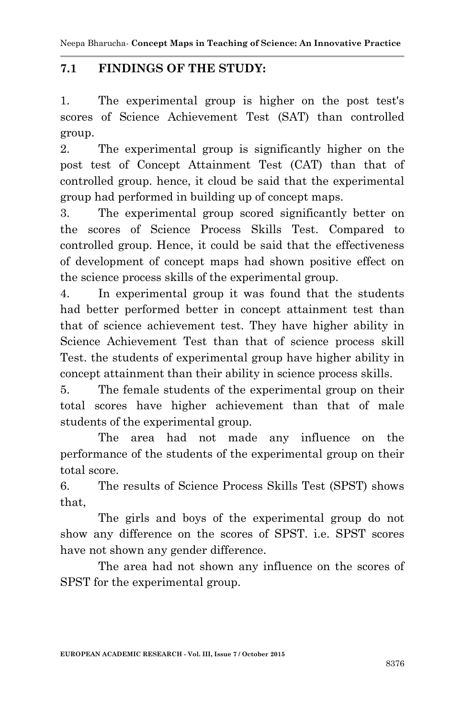### **7.1 FINDINGS OF THE STUDY:**

1. The experimental group is higher on the post test's scores of Science Achievement Test (SAT) than controlled group.

2. The experimental group is significantly higher on the post test of Concept Attainment Test (CAT) than that of controlled group. hence, it cloud be said that the experimental group had performed in building up of concept maps.

3. The experimental group scored significantly better on the scores of Science Process Skills Test. Compared to controlled group. Hence, it could be said that the effectiveness of development of concept maps had shown positive effect on the science process skills of the experimental group.

4. In experimental group it was found that the students had better performed better in concept attainment test than that of science achievement test. They have higher ability in Science Achievement Test than that of science process skill Test. the students of experimental group have higher ability in concept attainment than their ability in science process skills.

5. The female students of the experimental group on their total scores have higher achievement than that of male students of the experimental group.

The area had not made any influence on the performance of the students of the experimental group on their total score.

6. The results of Science Process Skills Test (SPST) shows that,

The girls and boys of the experimental group do not show any difference on the scores of SPST. i.e. SPST scores have not shown any gender difference.

The area had not shown any influence on the scores of SPST for the experimental group.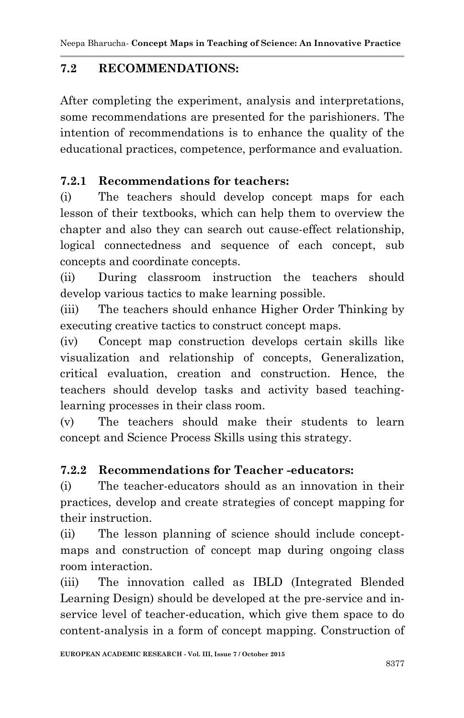## **7.2 RECOMMENDATIONS:**

After completing the experiment, analysis and interpretations, some recommendations are presented for the parishioners. The intention of recommendations is to enhance the quality of the educational practices, competence, performance and evaluation.

## **7.2.1 Recommendations for teachers:**

(i) The teachers should develop concept maps for each lesson of their textbooks, which can help them to overview the chapter and also they can search out cause-effect relationship, logical connectedness and sequence of each concept, sub concepts and coordinate concepts.

(ii) During classroom instruction the teachers should develop various tactics to make learning possible.

(iii) The teachers should enhance Higher Order Thinking by executing creative tactics to construct concept maps.

(iv) Concept map construction develops certain skills like visualization and relationship of concepts, Generalization, critical evaluation, creation and construction. Hence, the teachers should develop tasks and activity based teachinglearning processes in their class room.

(v) The teachers should make their students to learn concept and Science Process Skills using this strategy.

# **7.2.2 Recommendations for Teacher -educators:**

(i) The teacher-educators should as an innovation in their practices, develop and create strategies of concept mapping for their instruction.

(ii) The lesson planning of science should include conceptmaps and construction of concept map during ongoing class room interaction.

(iii) The innovation called as IBLD (Integrated Blended Learning Design) should be developed at the pre-service and inservice level of teacher-education, which give them space to do content-analysis in a form of concept mapping. Construction of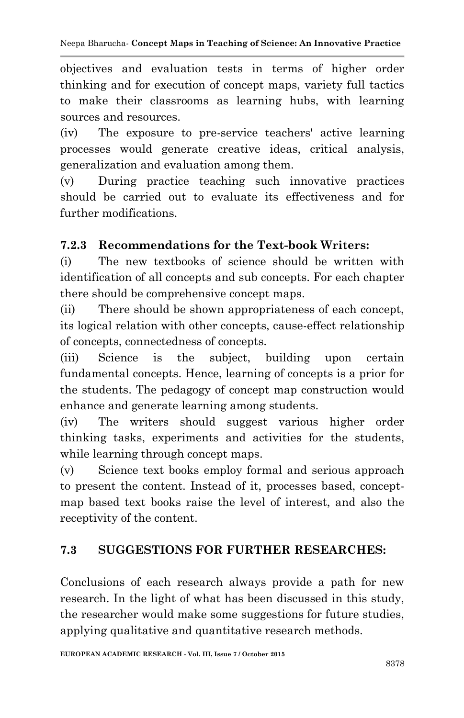objectives and evaluation tests in terms of higher order thinking and for execution of concept maps, variety full tactics to make their classrooms as learning hubs, with learning sources and resources.

(iv) The exposure to pre-service teachers' active learning processes would generate creative ideas, critical analysis, generalization and evaluation among them.

(v) During practice teaching such innovative practices should be carried out to evaluate its effectiveness and for further modifications.

### **7.2.3 Recommendations for the Text-book Writers:**

(i) The new textbooks of science should be written with identification of all concepts and sub concepts. For each chapter there should be comprehensive concept maps.

(ii) There should be shown appropriateness of each concept, its logical relation with other concepts, cause-effect relationship of concepts, connectedness of concepts.

(iii) Science is the subject, building upon certain fundamental concepts. Hence, learning of concepts is a prior for the students. The pedagogy of concept map construction would enhance and generate learning among students.

(iv) The writers should suggest various higher order thinking tasks, experiments and activities for the students, while learning through concept maps.

(v) Science text books employ formal and serious approach to present the content. Instead of it, processes based, conceptmap based text books raise the level of interest, and also the receptivity of the content.

## **7.3 SUGGESTIONS FOR FURTHER RESEARCHES:**

Conclusions of each research always provide a path for new research. In the light of what has been discussed in this study, the researcher would make some suggestions for future studies, applying qualitative and quantitative research methods.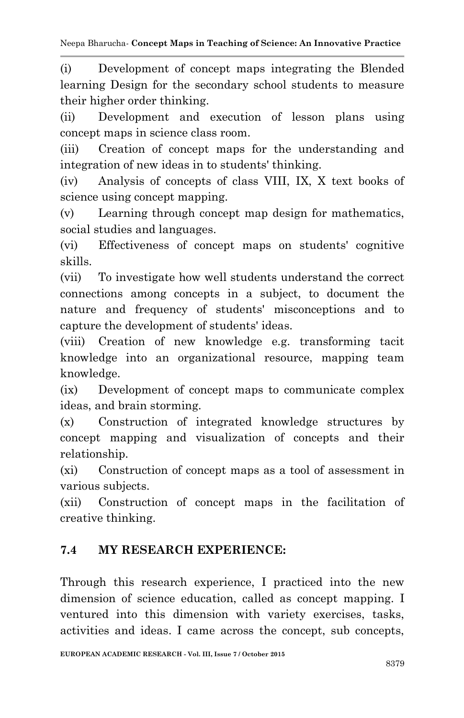(i) Development of concept maps integrating the Blended learning Design for the secondary school students to measure their higher order thinking.

(ii) Development and execution of lesson plans using concept maps in science class room.

(iii) Creation of concept maps for the understanding and integration of new ideas in to students' thinking.

(iv) Analysis of concepts of class VIII, IX, X text books of science using concept mapping.

(v) Learning through concept map design for mathematics, social studies and languages.

(vi) Effectiveness of concept maps on students' cognitive skills.

(vii) To investigate how well students understand the correct connections among concepts in a subject, to document the nature and frequency of students' misconceptions and to capture the development of students' ideas.

(viii) Creation of new knowledge e.g. transforming tacit knowledge into an organizational resource, mapping team knowledge.

(ix) Development of concept maps to communicate complex ideas, and brain storming.

(x) Construction of integrated knowledge structures by concept mapping and visualization of concepts and their relationship.

(xi) Construction of concept maps as a tool of assessment in various subjects.

(xii) Construction of concept maps in the facilitation of creative thinking.

## **7.4 MY RESEARCH EXPERIENCE:**

Through this research experience, I practiced into the new dimension of science education, called as concept mapping. I ventured into this dimension with variety exercises, tasks, activities and ideas. I came across the concept, sub concepts,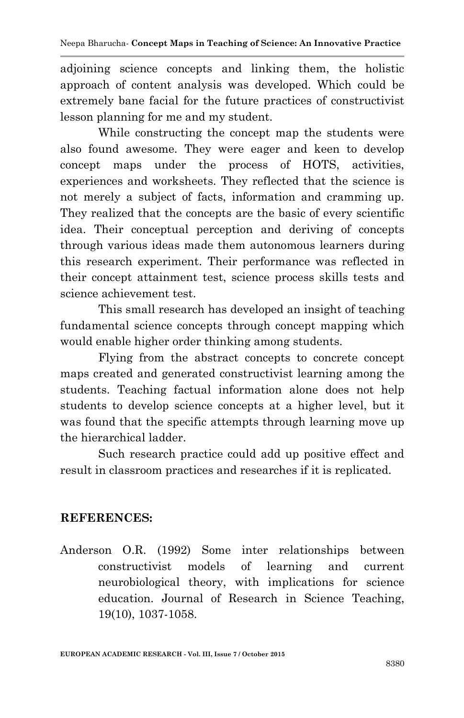adjoining science concepts and linking them, the holistic approach of content analysis was developed. Which could be extremely bane facial for the future practices of constructivist lesson planning for me and my student.

While constructing the concept map the students were also found awesome. They were eager and keen to develop concept maps under the process of HOTS, activities, experiences and worksheets. They reflected that the science is not merely a subject of facts, information and cramming up. They realized that the concepts are the basic of every scientific idea. Their conceptual perception and deriving of concepts through various ideas made them autonomous learners during this research experiment. Their performance was reflected in their concept attainment test, science process skills tests and science achievement test.

This small research has developed an insight of teaching fundamental science concepts through concept mapping which would enable higher order thinking among students.

Flying from the abstract concepts to concrete concept maps created and generated constructivist learning among the students. Teaching factual information alone does not help students to develop science concepts at a higher level, but it was found that the specific attempts through learning move up the hierarchical ladder.

Such research practice could add up positive effect and result in classroom practices and researches if it is replicated.

#### **REFERENCES:**

Anderson O.R. (1992) Some inter relationships between constructivist models of learning and current neurobiological theory, with implications for science education. Journal of Research in Science Teaching, 19(10), 1037-1058.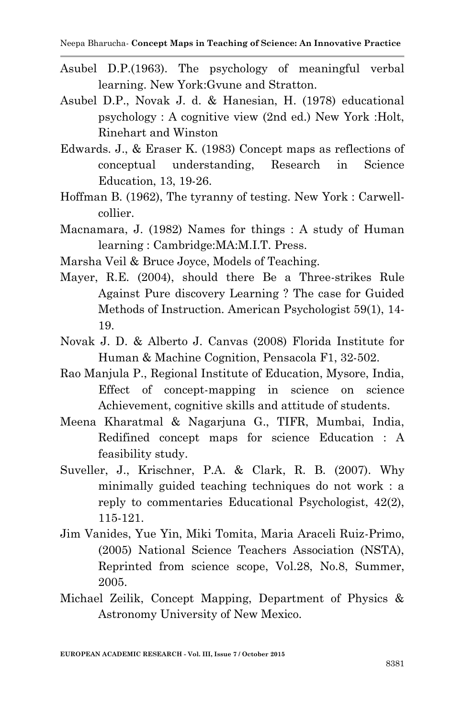- Asubel D.P.(1963). The psychology of meaningful verbal learning. New York:Gvune and Stratton.
- Asubel D.P., Novak J. d. & Hanesian, H. (1978) educational psychology : A cognitive view (2nd ed.) New York :Holt, Rinehart and Winston
- Edwards. J., & Eraser K. (1983) Concept maps as reflections of conceptual understanding, Research in Science Education, 13, 19-26.
- Hoffman B. (1962), The tyranny of testing. New York : Carwellcollier.
- Macnamara, J. (1982) Names for things : A study of Human learning : Cambridge:MA:M.I.T. Press.
- Marsha Veil & Bruce Joyce, Models of Teaching.
- Mayer, R.E. (2004), should there Be a Three-strikes Rule Against Pure discovery Learning ? The case for Guided Methods of Instruction. American Psychologist 59(1), 14- 19.
- Novak J. D. & Alberto J. Canvas (2008) Florida Institute for Human & Machine Cognition, Pensacola F1, 32-502.
- Rao Manjula P., Regional Institute of Education, Mysore, India, Effect of concept-mapping in science on science Achievement, cognitive skills and attitude of students.
- Meena Kharatmal & Nagarjuna G., TIFR, Mumbai, India, Redifined concept maps for science Education : A feasibility study.
- Suveller, J., Krischner, P.A. & Clark, R. B. (2007). Why minimally guided teaching techniques do not work : a reply to commentaries Educational Psychologist, 42(2), 115-121.
- Jim Vanides, Yue Yin, Miki Tomita, Maria Araceli Ruiz-Primo, (2005) National Science Teachers Association (NSTA), Reprinted from science scope, Vol.28, No.8, Summer, 2005.
- Michael Zeilik, Concept Mapping, Department of Physics & Astronomy University of New Mexico.